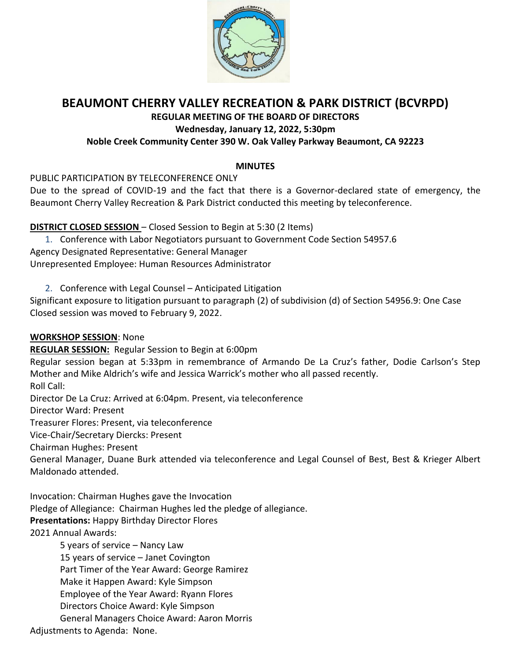

# **BEAUMONT CHERRY VALLEY RECREATION & PARK DISTRICT (BCVRPD)**

**REGULAR MEETING OF THE BOARD OF DIRECTORS**

### **Wednesday, January 12, 2022, 5:30pm**

### **Noble Creek Community Center 390 W. Oak Valley Parkway Beaumont, CA 92223**

### **MINUTES**

PUBLIC PARTICIPATION BY TELECONFERENCE ONLY

Due to the spread of COVID-19 and the fact that there is a Governor-declared state of emergency, the Beaumont Cherry Valley Recreation & Park District conducted this meeting by teleconference.

**DISTRICT CLOSED SESSION** – Closed Session to Begin at 5:30 (2 Items)

1. Conference with Labor Negotiators pursuant to Government Code Section 54957.6 Agency Designated Representative: General Manager Unrepresented Employee: Human Resources Administrator

2. Conference with Legal Counsel – Anticipated Litigation

Significant exposure to litigation pursuant to paragraph (2) of subdivision (d) of Section 54956.9: One Case Closed session was moved to February 9, 2022.

### **WORKSHOP SESSION**: None

**REGULAR SESSION:** Regular Session to Begin at 6:00pm

Regular session began at 5:33pm in remembrance of Armando De La Cruz's father, Dodie Carlson's Step Mother and Mike Aldrich's wife and Jessica Warrick's mother who all passed recently.

Roll Call:

Director De La Cruz: Arrived at 6:04pm. Present, via teleconference

Director Ward: Present

Treasurer Flores: Present, via teleconference

Vice-Chair/Secretary Diercks: Present

Chairman Hughes: Present

General Manager, Duane Burk attended via teleconference and Legal Counsel of Best, Best & Krieger Albert Maldonado attended.

Invocation: Chairman Hughes gave the Invocation Pledge of Allegiance: Chairman Hughes led the pledge of allegiance. **Presentations:** Happy Birthday Director Flores 2021 Annual Awards:

> 5 years of service – Nancy Law 15 years of service – Janet Covington Part Timer of the Year Award: George Ramirez Make it Happen Award: Kyle Simpson Employee of the Year Award: Ryann Flores Directors Choice Award: Kyle Simpson General Managers Choice Award: Aaron Morris

Adjustments to Agenda: None.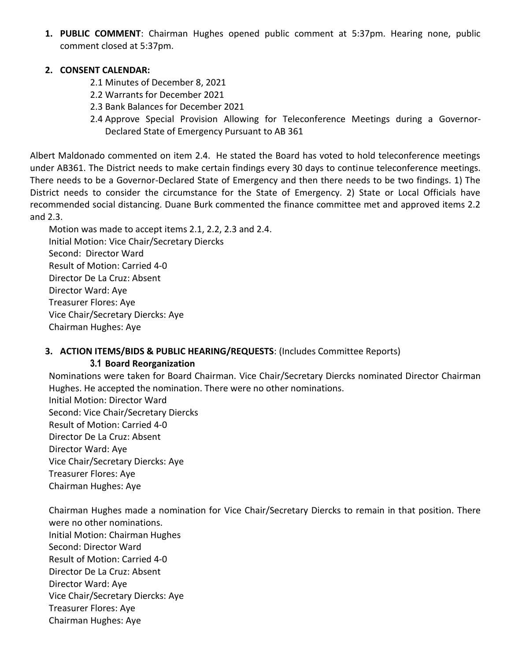**1. PUBLIC COMMENT**: Chairman Hughes opened public comment at 5:37pm. Hearing none, public comment closed at 5:37pm.

### **2. CONSENT CALENDAR:**

- 2.1 Minutes of December 8, 2021
- 2.2 Warrants for December 2021
- 2.3 Bank Balances for December 2021
- 2.4 Approve Special Provision Allowing for Teleconference Meetings during a Governor-Declared State of Emergency Pursuant to AB 361

Albert Maldonado commented on item 2.4. He stated the Board has voted to hold teleconference meetings under AB361. The District needs to make certain findings every 30 days to continue teleconference meetings. There needs to be a Governor-Declared State of Emergency and then there needs to be two findings. 1) The District needs to consider the circumstance for the State of Emergency. 2) State or Local Officials have recommended social distancing. Duane Burk commented the finance committee met and approved items 2.2 and 2.3.

Motion was made to accept items 2.1, 2.2, 2.3 and 2.4. Initial Motion: Vice Chair/Secretary Diercks Second: Director Ward Result of Motion: Carried 4-0 Director De La Cruz: Absent Director Ward: Aye Treasurer Flores: Aye Vice Chair/Secretary Diercks: Aye Chairman Hughes: Aye

### **3. ACTION ITEMS/BIDS & PUBLIC HEARING/REQUESTS**: (Includes Committee Reports) **3.1 Board Reorganization**

Nominations were taken for Board Chairman. Vice Chair/Secretary Diercks nominated Director Chairman Hughes. He accepted the nomination. There were no other nominations.

Initial Motion: Director Ward Second: Vice Chair/Secretary Diercks Result of Motion: Carried 4-0 Director De La Cruz: Absent Director Ward: Aye Vice Chair/Secretary Diercks: Aye Treasurer Flores: Aye Chairman Hughes: Aye

Chairman Hughes made a nomination for Vice Chair/Secretary Diercks to remain in that position. There were no other nominations. Initial Motion: Chairman Hughes Second: Director Ward Result of Motion: Carried 4-0 Director De La Cruz: Absent Director Ward: Aye Vice Chair/Secretary Diercks: Aye Treasurer Flores: Aye Chairman Hughes: Aye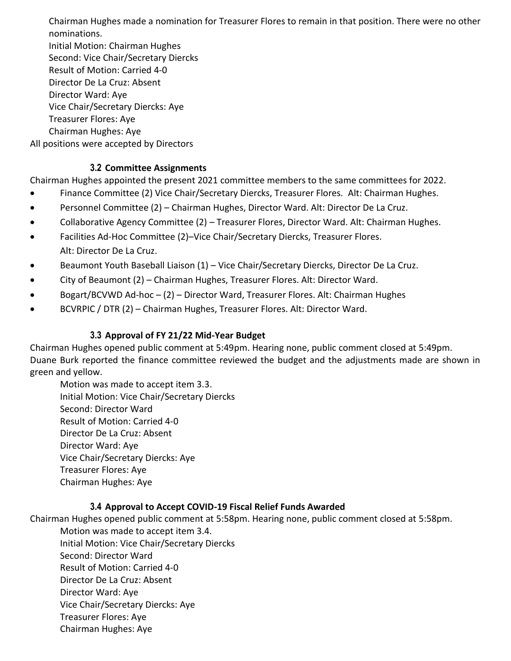Chairman Hughes made a nomination for Treasurer Flores to remain in that position. There were no other nominations.

Initial Motion: Chairman Hughes Second: Vice Chair/Secretary Diercks Result of Motion: Carried 4-0 Director De La Cruz: Absent Director Ward: Aye Vice Chair/Secretary Diercks: Aye Treasurer Flores: Aye

Chairman Hughes: Aye

All positions were accepted by Directors

# **3.2 Committee Assignments**

Chairman Hughes appointed the present 2021 committee members to the same committees for 2022.

- Finance Committee (2) Vice Chair/Secretary Diercks, Treasurer Flores. Alt: Chairman Hughes.
- Personnel Committee (2) Chairman Hughes, Director Ward. Alt: Director De La Cruz.
- Collaborative Agency Committee (2) Treasurer Flores, Director Ward. Alt: Chairman Hughes.
- Facilities Ad-Hoc Committee (2)–Vice Chair/Secretary Diercks, Treasurer Flores. Alt: Director De La Cruz.
- Beaumont Youth Baseball Liaison (1) Vice Chair/Secretary Diercks, Director De La Cruz.
- City of Beaumont (2) Chairman Hughes, Treasurer Flores. Alt: Director Ward.
- Bogart/BCVWD Ad-hoc (2) Director Ward, Treasurer Flores. Alt: Chairman Hughes
- BCVRPIC / DTR (2) Chairman Hughes, Treasurer Flores. Alt: Director Ward.

# **3.3 Approval of FY 21/22 Mid-Year Budget**

Chairman Hughes opened public comment at 5:49pm. Hearing none, public comment closed at 5:49pm. Duane Burk reported the finance committee reviewed the budget and the adjustments made are shown in green and yellow.

Motion was made to accept item 3.3. Initial Motion: Vice Chair/Secretary Diercks Second: Director Ward Result of Motion: Carried 4-0 Director De La Cruz: Absent Director Ward: Aye Vice Chair/Secretary Diercks: Aye Treasurer Flores: Aye Chairman Hughes: Aye

### **3.4 Approval to Accept COVID-19 Fiscal Relief Funds Awarded**

Chairman Hughes opened public comment at 5:58pm. Hearing none, public comment closed at 5:58pm. Motion was made to accept item 3.4.

Initial Motion: Vice Chair/Secretary Diercks Second: Director Ward Result of Motion: Carried 4-0 Director De La Cruz: Absent Director Ward: Aye Vice Chair/Secretary Diercks: Aye Treasurer Flores: Aye Chairman Hughes: Aye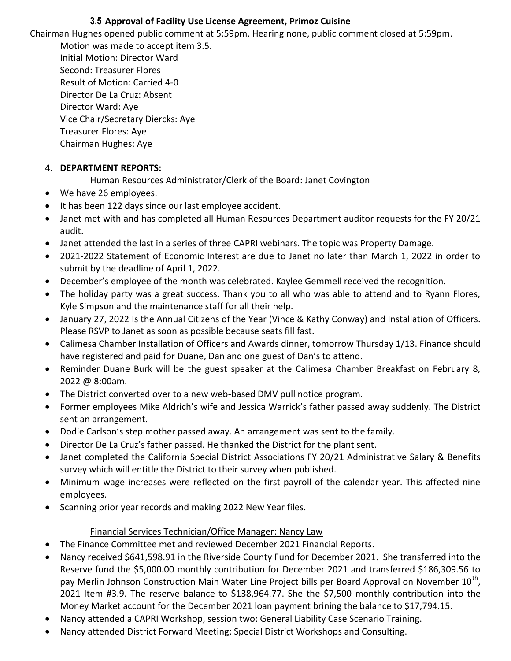# **3.5 Approval of Facility Use License Agreement, Primoz Cuisine**

Chairman Hughes opened public comment at 5:59pm. Hearing none, public comment closed at 5:59pm.

Motion was made to accept item 3.5. Initial Motion: Director Ward Second: Treasurer Flores Result of Motion: Carried 4-0 Director De La Cruz: Absent Director Ward: Aye Vice Chair/Secretary Diercks: Aye Treasurer Flores: Aye Chairman Hughes: Aye

# 4. **DEPARTMENT REPORTS:**

# Human Resources Administrator/Clerk of the Board: Janet Covington

- We have 26 employees.
- It has been 122 days since our last employee accident.
- Janet met with and has completed all Human Resources Department auditor requests for the FY 20/21 audit.
- Janet attended the last in a series of three CAPRI webinars. The topic was Property Damage.
- 2021-2022 Statement of Economic Interest are due to Janet no later than March 1, 2022 in order to submit by the deadline of April 1, 2022.
- December's employee of the month was celebrated. Kaylee Gemmell received the recognition.
- The holiday party was a great success. Thank you to all who was able to attend and to Ryann Flores, Kyle Simpson and the maintenance staff for all their help.
- January 27, 2022 Is the Annual Citizens of the Year (Vince & Kathy Conway) and Installation of Officers. Please RSVP to Janet as soon as possible because seats fill fast.
- Calimesa Chamber Installation of Officers and Awards dinner, tomorrow Thursday 1/13. Finance should have registered and paid for Duane, Dan and one guest of Dan's to attend.
- Reminder Duane Burk will be the guest speaker at the Calimesa Chamber Breakfast on February 8, 2022 @ 8:00am.
- The District converted over to a new web-based DMV pull notice program.
- Former employees Mike Aldrich's wife and Jessica Warrick's father passed away suddenly. The District sent an arrangement.
- Dodie Carlson's step mother passed away. An arrangement was sent to the family.
- Director De La Cruz's father passed. He thanked the District for the plant sent.
- Janet completed the California Special District Associations FY 20/21 Administrative Salary & Benefits survey which will entitle the District to their survey when published.
- Minimum wage increases were reflected on the first payroll of the calendar year. This affected nine employees.
- Scanning prior year records and making 2022 New Year files.

# Financial Services Technician/Office Manager: Nancy Law

- The Finance Committee met and reviewed December 2021 Financial Reports.
- Nancy received \$641,598.91 in the Riverside County Fund for December 2021. She transferred into the Reserve fund the \$5,000.00 monthly contribution for December 2021 and transferred \$186,309.56 to pay Merlin Johnson Construction Main Water Line Project bills per Board Approval on November 10<sup>th</sup>, 2021 Item #3.9. The reserve balance to \$138,964.77. She the \$7,500 monthly contribution into the Money Market account for the December 2021 loan payment brining the balance to \$17,794.15.
- Nancy attended a CAPRI Workshop, session two: General Liability Case Scenario Training.
- Nancy attended District Forward Meeting; Special District Workshops and Consulting.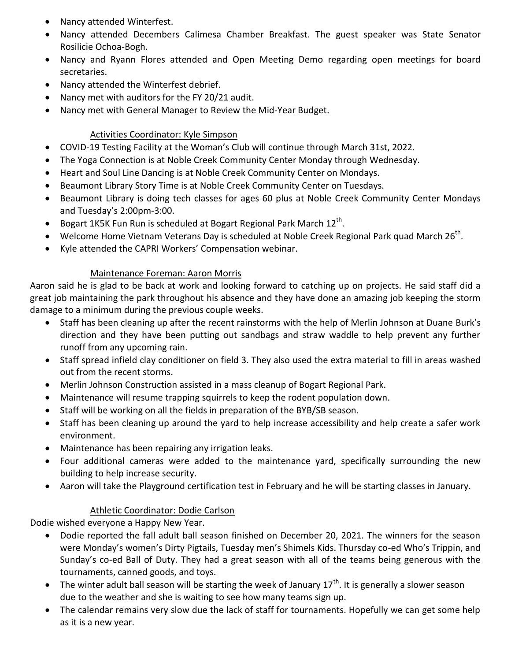- Nancy attended Winterfest.
- Nancy attended Decembers Calimesa Chamber Breakfast. The guest speaker was State Senator Rosilicie Ochoa-Bogh.
- Nancy and Ryann Flores attended and Open Meeting Demo regarding open meetings for board secretaries.
- Nancy attended the Winterfest debrief.
- Nancy met with auditors for the FY 20/21 audit.
- Nancy met with General Manager to Review the Mid-Year Budget.

# Activities Coordinator: Kyle Simpson

- COVID-19 Testing Facility at the Woman's Club will continue through March 31st, 2022.
- The Yoga Connection is at Noble Creek Community Center Monday through Wednesday.
- Heart and Soul Line Dancing is at Noble Creek Community Center on Mondays.
- Beaumont Library Story Time is at Noble Creek Community Center on Tuesdays.
- Beaumont Library is doing tech classes for ages 60 plus at Noble Creek Community Center Mondays and Tuesday's 2:00pm-3:00.
- Bogart 1K5K Fun Run is scheduled at Bogart Regional Park March  $12^{\text{th}}$ .
- Welcome Home Vietnam Veterans Day is scheduled at Noble Creek Regional Park quad March 26<sup>th</sup>.
- Kyle attended the CAPRI Workers' Compensation webinar.

# Maintenance Foreman: Aaron Morris

Aaron said he is glad to be back at work and looking forward to catching up on projects. He said staff did a great job maintaining the park throughout his absence and they have done an amazing job keeping the storm damage to a minimum during the previous couple weeks.

- Staff has been cleaning up after the recent rainstorms with the help of Merlin Johnson at Duane Burk's direction and they have been putting out sandbags and straw waddle to help prevent any further runoff from any upcoming rain.
- Staff spread infield clay conditioner on field 3. They also used the extra material to fill in areas washed out from the recent storms.
- Merlin Johnson Construction assisted in a mass cleanup of Bogart Regional Park.
- Maintenance will resume trapping squirrels to keep the rodent population down.
- Staff will be working on all the fields in preparation of the BYB/SB season.
- Staff has been cleaning up around the yard to help increase accessibility and help create a safer work environment.
- Maintenance has been repairing any irrigation leaks.
- Four additional cameras were added to the maintenance yard, specifically surrounding the new building to help increase security.
- Aaron will take the Playground certification test in February and he will be starting classes in January.

# Athletic Coordinator: Dodie Carlson

Dodie wished everyone a Happy New Year.

- Dodie reported the fall adult ball season finished on December 20, 2021. The winners for the season were Monday's women's Dirty Pigtails, Tuesday men's Shimels Kids. Thursday co-ed Who's Trippin, and Sunday's co-ed Ball of Duty. They had a great season with all of the teams being generous with the tournaments, canned goods, and toys.
- The winter adult ball season will be starting the week of January  $17<sup>th</sup>$ . It is generally a slower season due to the weather and she is waiting to see how many teams sign up.
- The calendar remains very slow due the lack of staff for tournaments. Hopefully we can get some help as it is a new year.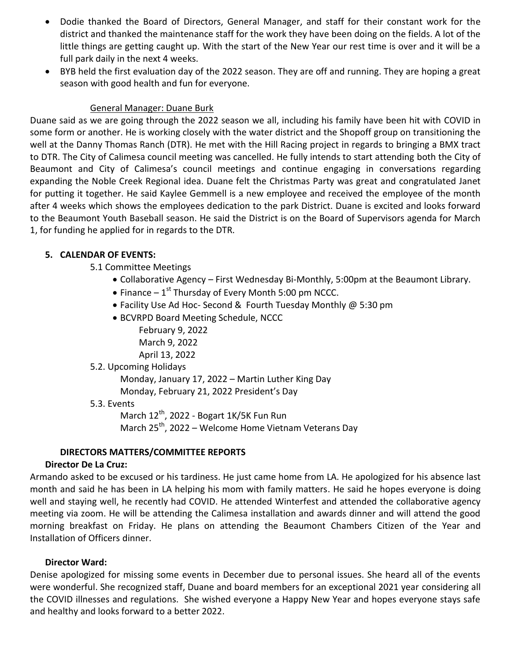- Dodie thanked the Board of Directors, General Manager, and staff for their constant work for the district and thanked the maintenance staff for the work they have been doing on the fields. A lot of the little things are getting caught up. With the start of the New Year our rest time is over and it will be a full park daily in the next 4 weeks.
- BYB held the first evaluation day of the 2022 season. They are off and running. They are hoping a great season with good health and fun for everyone.

### General Manager: Duane Burk

Duane said as we are going through the 2022 season we all, including his family have been hit with COVID in some form or another. He is working closely with the water district and the Shopoff group on transitioning the well at the Danny Thomas Ranch (DTR). He met with the Hill Racing project in regards to bringing a BMX tract to DTR. The City of Calimesa council meeting was cancelled. He fully intends to start attending both the City of Beaumont and City of Calimesa's council meetings and continue engaging in conversations regarding expanding the Noble Creek Regional idea. Duane felt the Christmas Party was great and congratulated Janet for putting it together. He said Kaylee Gemmell is a new employee and received the employee of the month after 4 weeks which shows the employees dedication to the park District. Duane is excited and looks forward to the Beaumont Youth Baseball season. He said the District is on the Board of Supervisors agenda for March 1, for funding he applied for in regards to the DTR.

# **5. CALENDAR OF EVENTS:**

- 5.1 Committee Meetings
	- Collaborative Agency First Wednesday Bi-Monthly, 5:00pm at the Beaumont Library.
	- $\bullet$  Finance 1<sup>st</sup> Thursday of Every Month 5:00 pm NCCC.
	- Facility Use Ad Hoc- Second & Fourth Tuesday Monthly @ 5:30 pm
	- BCVRPD Board Meeting Schedule, NCCC
		- February 9, 2022 March 9, 2022 April 13, 2022

### 5.2. Upcoming Holidays

Monday, January 17, 2022 – Martin Luther King Day

Monday, February 21, 2022 President's Day

### 5.3. Events

March 12<sup>th</sup>, 2022 - Bogart 1K/5K Fun Run March 25<sup>th</sup>, 2022 – Welcome Home Vietnam Veterans Day

# **DIRECTORS MATTERS/COMMITTEE REPORTS**

# **Director De La Cruz:**

Armando asked to be excused or his tardiness. He just came home from LA. He apologized for his absence last month and said he has been in LA helping his mom with family matters. He said he hopes everyone is doing well and staying well, he recently had COVID. He attended Winterfest and attended the collaborative agency meeting via zoom. He will be attending the Calimesa installation and awards dinner and will attend the good morning breakfast on Friday. He plans on attending the Beaumont Chambers Citizen of the Year and Installation of Officers dinner.

### **Director Ward:**

Denise apologized for missing some events in December due to personal issues. She heard all of the events were wonderful. She recognized staff, Duane and board members for an exceptional 2021 year considering all the COVID illnesses and regulations. She wished everyone a Happy New Year and hopes everyone stays safe and healthy and looks forward to a better 2022.